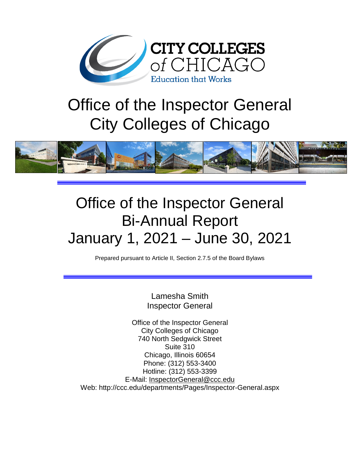

# Office of the Inspector General City Colleges of Chicago



# Office of the Inspector General Bi-Annual Report January 1, 2021 – June 30, 2021

Prepared pursuant to Article II, Section 2.7.5 of the Board Bylaws

Lamesha Smith Inspector General

Office of the Inspector General City Colleges of Chicago 740 North Sedgwick Street Suite 310 Chicago, Illinois 60654 Phone: (312) 553-3400 Hotline: (312) 553-3399 E-Mail: [InspectorGeneral@ccc.edu](mailto:InspectorGeneral@ccc.edu) Web: http://ccc.edu/departments/Pages/Inspector-General.aspx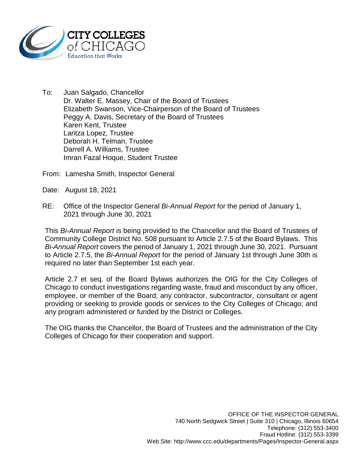

To: Juan Salgado, Chancellor Dr. Walter E. Massey, Chair of the Board of Trustees Elizabeth Swanson, Vice-Chairperson of the Board of Trustees Peggy A. Davis, Secretary of the Board of Trustees Karen Kent, Trustee Laritza Lopez, Trustee Deborah H. Telman, Trustee Darrell A. Williams, Trustee Imran Fazal Hoque, Student Trustee

From: Lamesha Smith, Inspector General

Date: August 18, 2021

RE: Office of the Inspector General *Bi-Annual Report* for the period of January 1, 2021 through June 30, 2021

This *Bi-Annual Report* is being provided to the Chancellor and the Board of Trustees of Community College District No. 508 pursuant to Article 2.7.5 of the Board Bylaws. This *Bi-Annual Report* covers the period of January 1, 2021 through June 30, 2021. Pursuant to Article 2.7.5, the *Bi-Annual Report* for the period of January 1st through June 30th is required no later than September 1st each year.

Article 2.7 et seq. of the Board Bylaws authorizes the OIG for the City Colleges of Chicago to conduct investigations regarding waste, fraud and misconduct by any officer, employee, or member of the Board; any contractor, subcontractor, consultant or agent providing or seeking to provide goods or services to the City Colleges of Chicago; and any program administered or funded by the District or Colleges.

The OIG thanks the Chancellor, the Board of Trustees and the administration of the City Colleges of Chicago for their cooperation and support.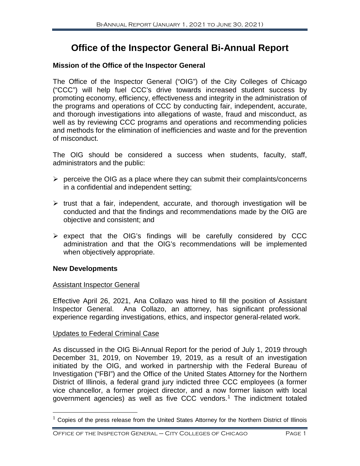# **Office of the Inspector General Bi-Annual Report**

#### **Mission of the Office of the Inspector General**

The Office of the Inspector General ("OIG") of the City Colleges of Chicago ("CCC") will help fuel CCC's drive towards increased student success by promoting economy, efficiency, effectiveness and integrity in the administration of the programs and operations of CCC by conducting fair, independent, accurate, and thorough investigations into allegations of waste, fraud and misconduct, as well as by reviewing CCC programs and operations and recommending policies and methods for the elimination of inefficiencies and waste and for the prevention of misconduct.

The OIG should be considered a success when students, faculty, staff, administrators and the public:

- $\triangleright$  perceive the OIG as a place where they can submit their complaints/concerns in a confidential and independent setting;
- $\triangleright$  trust that a fair, independent, accurate, and thorough investigation will be conducted and that the findings and recommendations made by the OIG are objective and consistent; and
- $\triangleright$  expect that the OIG's findings will be carefully considered by CCC administration and that the OIG's recommendations will be implemented when objectively appropriate.

#### **New Developments**

#### Assistant Inspector General

Effective April 26, 2021, Ana Collazo was hired to fill the position of Assistant Inspector General. Ana Collazo, an attorney, has significant professional experience regarding investigations, ethics, and inspector general-related work.

#### Updates to Federal Criminal Case

As discussed in the OIG Bi-Annual Report for the period of July 1, 2019 through December 31, 2019, on November 19, 2019, as a result of an investigation initiated by the OIG, and worked in partnership with the Federal Bureau of Investigation ("FBI") and the Office of the United States Attorney for the Northern District of Illinois, a federal grand jury indicted three CCC employees (a former vice chancellor, a former project director, and a now former liaison with local government agencies) as well as five CCC vendors. [1](#page-2-0) The indictment totaled

<span id="page-2-0"></span> $1$  Copies of the press release from the United States Attorney for the Northern District of Illinois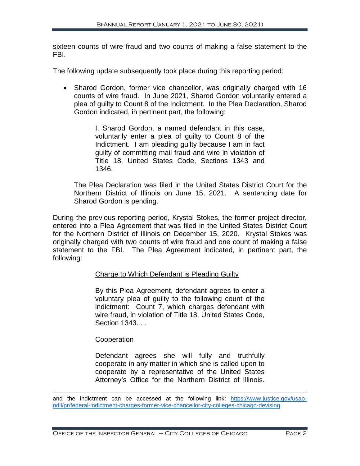sixteen counts of wire fraud and two counts of making a false statement to the FBI.

The following update subsequently took place during this reporting period:

• Sharod Gordon, former vice chancellor, was originally charged with 16 counts of wire fraud. In June 2021, Sharod Gordon voluntarily entered a plea of guilty to Count 8 of the Indictment. In the Plea Declaration, Sharod Gordon indicated, in pertinent part, the following:

> I, Sharod Gordon, a named defendant in this case, voluntarily enter a plea of guilty to Count 8 of the Indictment. I am pleading guilty because I am in fact guilty of committing mail fraud and wire in violation of Title 18, United States Code, Sections 1343 and 1346.

The Plea Declaration was filed in the United States District Court for the Northern District of Illinois on June 15, 2021. A sentencing date for Sharod Gordon is pending.

During the previous reporting period, Krystal Stokes, the former project director, entered into a Plea Agreement that was filed in the United States District Court for the Northern District of Illinois on December 15, 2020. Krystal Stokes was originally charged with two counts of wire fraud and one count of making a false statement to the FBI. The Plea Agreement indicated, in pertinent part, the following:

#### Charge to Which Defendant is Pleading Guilty

By this Plea Agreement, defendant agrees to enter a voluntary plea of guilty to the following count of the indictment: Count 7, which charges defendant with wire fraud, in violation of Title 18, United States Code, Section 1343. . .

**Cooperation** 

Defendant agrees she will fully and truthfully cooperate in any matter in which she is called upon to cooperate by a representative of the United States Attorney's Office for the Northern District of Illinois.

 $\overline{a}$ and the indictment can be accessed at the following link: [https://www.justice.gov/usao](https://www.justice.gov/usao-ndil/pr/federal-indictment-charges-former-vice-chancellor-city-colleges-chicago-devising)[ndil/pr/federal-indictment-charges-former-vice-chancellor-city-colleges-chicago-devising.](https://www.justice.gov/usao-ndil/pr/federal-indictment-charges-former-vice-chancellor-city-colleges-chicago-devising)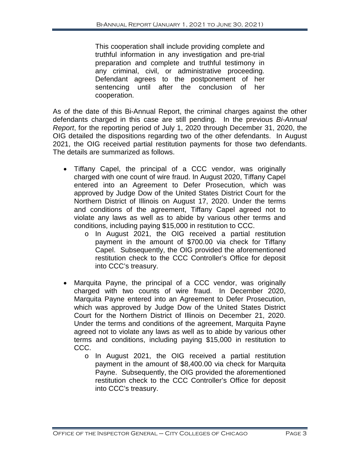This cooperation shall include providing complete and truthful information in any investigation and pre-trial preparation and complete and truthful testimony in any criminal, civil, or administrative proceeding. Defendant agrees to the postponement of her sentencing until after the conclusion of her cooperation.

As of the date of this Bi-Annual Report, the criminal charges against the other defendants charged in this case are still pending. In the previous *Bi-Annual Report*, for the reporting period of July 1, 2020 through December 31, 2020, the OIG detailed the dispositions regarding two of the other defendants. In August 2021, the OIG received partial restitution payments for those two defendants. The details are summarized as follows.

- Tiffany Capel, the principal of a CCC vendor, was originally charged with one count of wire fraud. In August 2020, Tiffany Capel entered into an Agreement to Defer Prosecution, which was approved by Judge Dow of the United States District Court for the Northern District of Illinois on August 17, 2020. Under the terms and conditions of the agreement, Tiffany Capel agreed not to violate any laws as well as to abide by various other terms and conditions, including paying \$15,000 in restitution to CCC.
	- o In August 2021, the OIG received a partial restitution payment in the amount of \$700.00 via check for Tiffany Capel. Subsequently, the OIG provided the aforementioned restitution check to the CCC Controller's Office for deposit into CCC's treasury.
- Marquita Payne, the principal of a CCC vendor, was originally charged with two counts of wire fraud. In December 2020, Marquita Payne entered into an Agreement to Defer Prosecution, which was approved by Judge Dow of the United States District Court for the Northern District of Illinois on December 21, 2020. Under the terms and conditions of the agreement, Marquita Payne agreed not to violate any laws as well as to abide by various other terms and conditions, including paying \$15,000 in restitution to CCC.
	- o In August 2021, the OIG received a partial restitution payment in the amount of \$8,400.00 via check for Marquita Payne. Subsequently, the OIG provided the aforementioned restitution check to the CCC Controller's Office for deposit into CCC's treasury.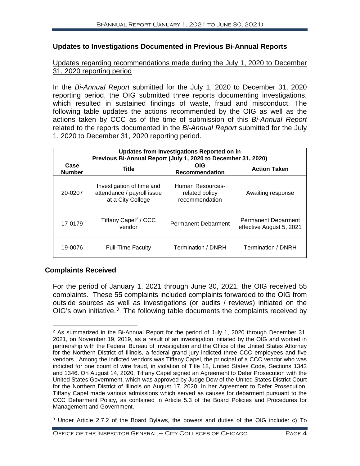#### **Updates to Investigations Documented in Previous Bi-Annual Reports**

#### Updates regarding recommendations made during the July 1, 2020 to December 31, 2020 reporting period

In the *Bi-Annual Report* submitted for the July 1, 2020 to December 31, 2020 reporting period, the OIG submitted three reports documenting investigations, which resulted in sustained findings of waste, fraud and misconduct. The following table updates the actions recommended by the OIG as well as the actions taken by CCC as of the time of submission of this *Bi-Annual Report* related to the reports documented in the *Bi-Annual Report* submitted for the July 1, 2020 to December 31, 2020 reporting period.

| Updates from Investigations Reported on in<br>Previous Bi-Annual Report (July 1, 2020 to December 31, 2020) |                                                                              |                                                      |                                                        |  |  |  |
|-------------------------------------------------------------------------------------------------------------|------------------------------------------------------------------------------|------------------------------------------------------|--------------------------------------------------------|--|--|--|
| Case<br><b>Number</b>                                                                                       | <b>Title</b>                                                                 | OIG<br><b>Recommendation</b>                         | <b>Action Taken</b>                                    |  |  |  |
| 20-0207                                                                                                     | Investigation of time and<br>attendance / payroll issue<br>at a City College | Human Resources-<br>related policy<br>recommendation | Awaiting response                                      |  |  |  |
| 17-0179                                                                                                     | Tiffany Capel <sup>2</sup> / CCC<br>vendor                                   | <b>Permanent Debarment</b>                           | <b>Permanent Debarment</b><br>effective August 5, 2021 |  |  |  |
| 19-0076                                                                                                     | <b>Full-Time Faculty</b>                                                     | Termination / DNRH                                   | Termination / DNRH                                     |  |  |  |

#### **Complaints Received**

For the period of January 1, 2021 through June 30, 2021, the OIG received 55 complaints. These 55 complaints included complaints forwarded to the OIG from outside sources as well as investigations (or audits / reviews) initiated on the OIG's own initiative. $3$  The following table documents the complaints received by

<span id="page-5-0"></span> $\overline{a}$  $2$  As summarized in the Bi-Annual Report for the period of July 1, 2020 through December 31, 2021, on November 19, 2019, as a result of an investigation initiated by the OIG and worked in partnership with the Federal Bureau of Investigation and the Office of the United States Attorney for the Northern District of Illinois, a federal grand jury indicted three CCC employees and five vendors. Among the indicted vendors was Tiffany Capel, the principal of a CCC vendor who was indicted for one count of wire fraud, in violation of Title 18, United States Code, Sections 1343 and 1346. On August 14, 2020, Tiffany Capel signed an Agreement to Defer Prosecution with the United States Government, which was approved by Judge Dow of the United States District Court for the Northern District of Illinois on August 17, 2020. In her Agreement to Defer Prosecution, Tiffany Capel made various admissions which served as causes for debarment pursuant to the CCC Debarment Policy, as contained in Article 5.3 of the Board Policies and Procedures for Management and Government.

<span id="page-5-1"></span><sup>3</sup> Under Article 2.7.2 of the Board Bylaws, the powers and duties of the OIG include: c) To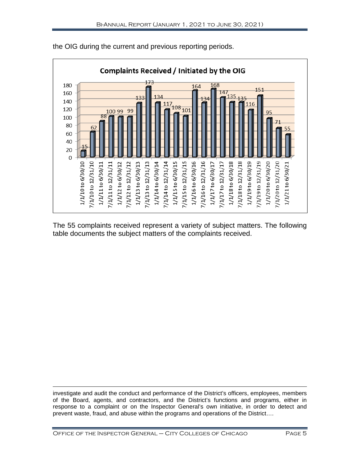

the OIG during the current and previous reporting periods.

The 55 complaints received represent a variety of subject matters. The following table documents the subject matters of the complaints received.

 $\overline{a}$ investigate and audit the conduct and performance of the District's officers, employees, members of the Board, agents, and contractors, and the District's functions and programs, either in response to a complaint or on the Inspector General's own initiative, in order to detect and prevent waste, fraud, and abuse within the programs and operations of the District….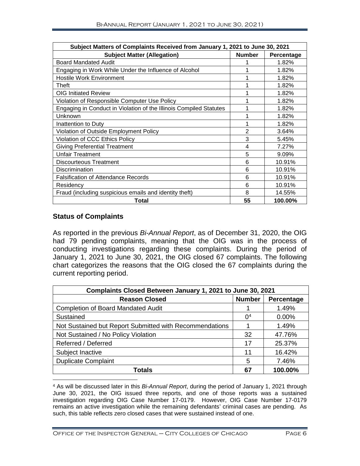| Subject Matters of Complaints Received from January 1, 2021 to June 30, 2021 |                |            |  |  |
|------------------------------------------------------------------------------|----------------|------------|--|--|
| <b>Subject Matter (Allegation)</b>                                           | <b>Number</b>  | Percentage |  |  |
| <b>Board Mandated Audit</b>                                                  |                | 1.82%      |  |  |
| Engaging in Work While Under the Influence of Alcohol                        |                | 1.82%      |  |  |
| <b>Hostile Work Environment</b>                                              |                | 1.82%      |  |  |
| Theft                                                                        |                | 1.82%      |  |  |
| <b>OIG Initiated Review</b>                                                  |                | 1.82%      |  |  |
| Violation of Responsible Computer Use Policy                                 |                | 1.82%      |  |  |
| Engaging in Conduct in Violation of the Illinois Compiled Statutes           |                | 1.82%      |  |  |
| Unknown                                                                      |                | 1.82%      |  |  |
| Inattention to Duty                                                          |                | 1.82%      |  |  |
| Violation of Outside Employment Policy                                       | $\overline{2}$ | 3.64%      |  |  |
| Violation of CCC Ethics Policy                                               | 3              | 5.45%      |  |  |
| <b>Giving Preferential Treatment</b>                                         | 4              | 7.27%      |  |  |
| <b>Unfair Treatment</b>                                                      | 5              | 9.09%      |  |  |
| Discourteous Treatment                                                       | 6              | 10.91%     |  |  |
| Discrimination                                                               | 6              | 10.91%     |  |  |
| <b>Falsification of Attendance Records</b>                                   | 6              | 10.91%     |  |  |
| Residency                                                                    | 6              | 10.91%     |  |  |
| Fraud (including suspicious emails and identity theft)                       | 8              | 14.55%     |  |  |
| Total                                                                        | 55             | 100.00%    |  |  |

#### **Status of Complaints**

 $\overline{a}$ 

As reported in the previous *Bi-Annual Report*, as of December 31, 2020, the OIG had 79 pending complaints, meaning that the OIG was in the process of conducting investigations regarding these complaints. During the period of January 1, 2021 to June 30, 2021, the OIG closed 67 complaints. The following chart categorizes the reasons that the OIG closed the 67 complaints during the current reporting period.

| Complaints Closed Between January 1, 2021 to June 30, 2021 |                |            |  |  |
|------------------------------------------------------------|----------------|------------|--|--|
| <b>Reason Closed</b>                                       | <b>Number</b>  | Percentage |  |  |
| <b>Completion of Board Mandated Audit</b>                  |                | 1.49%      |  |  |
| Sustained                                                  | 0 <sup>4</sup> | 0.00%      |  |  |
| Not Sustained but Report Submitted with Recommendations    |                | 1.49%      |  |  |
| Not Sustained / No Policy Violation                        |                | 47.76%     |  |  |
| Referred / Deferred                                        | 17             | 25.37%     |  |  |
| Subject Inactive                                           | 11             | 16.42%     |  |  |
| <b>Duplicate Complaint</b>                                 |                | 7.46%      |  |  |
| Totals                                                     |                | 100.00%    |  |  |

<span id="page-7-0"></span><sup>4</sup> As will be discussed later in this *Bi-Annual Report*, during the period of January 1, 2021 through June 30, 2021, the OIG issued three reports, and one of those reports was a sustained investigation regarding OIG Case Number 17-0179. However, OIG Case Number 17-0179 remains an active investigation while the remaining defendants' criminal cases are pending. As such, this table reflects zero closed cases that were sustained instead of one.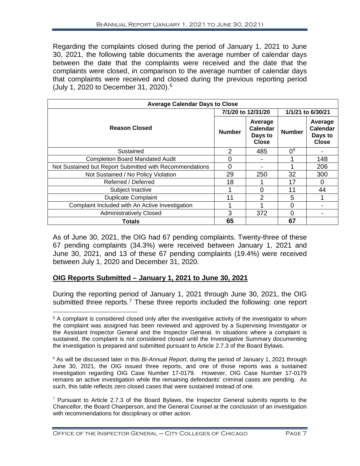Regarding the complaints closed during the period of January 1, 2021 to June 30, 2021, the following table documents the average number of calendar days between the date that the complaints were received and the date that the complaints were closed, in comparison to the average number of calendar days that complaints were received and closed during the previous reporting period (July 1, 2020 to December 31, 2020). [5](#page-8-0)

| <b>Average Calendar Days to Close</b>                   |                    |                                                |                   |                                                |  |
|---------------------------------------------------------|--------------------|------------------------------------------------|-------------------|------------------------------------------------|--|
|                                                         | 7/1/20 to 12/31/20 |                                                | 1/1/21 to 6/30/21 |                                                |  |
| <b>Reason Closed</b>                                    | <b>Number</b>      | Average<br>Calendar<br>Days to<br><b>Close</b> | <b>Number</b>     | Average<br>Calendar<br>Days to<br><b>Close</b> |  |
| Sustained                                               | $\mathcal{P}$      | 485                                            | 0 <sup>6</sup>    |                                                |  |
| <b>Completion Board Mandated Audit</b>                  | O                  |                                                |                   | 148                                            |  |
| Not Sustained but Report Submitted with Recommendations | O                  |                                                |                   | 206                                            |  |
| Not Sustained / No Policy Violation                     | 29                 | 250                                            | 32                | 300                                            |  |
| Referred / Deferred                                     | 18                 |                                                | 17                | 0                                              |  |
| Subject Inactive                                        |                    | O                                              | 11                | 44                                             |  |
| <b>Duplicate Complaint</b>                              | 11                 | 2                                              | 5                 |                                                |  |
| Complaint Included with An Active Investigation         |                    |                                                |                   |                                                |  |
| <b>Administratively Closed</b>                          | 3                  | 372                                            | 0                 |                                                |  |
| Totals                                                  | 65                 |                                                | 67                |                                                |  |

As of June 30, 2021, the OIG had 67 pending complaints. Twenty-three of these 67 pending complaints (34.3%) were received between January 1, 2021 and June 30, 2021, and 13 of these 67 pending complaints (19.4%) were received between July 1, 2020 and December 31, 2020.

## **OIG Reports Submitted – January 1, 2021 to June 30, 2021**

During the reporting period of January 1, 2021 through June 30, 2021, the OIG submitted three reports.<sup>[7](#page-8-2)</sup> These three reports included the following: one report

<span id="page-8-0"></span> $\overline{a}$ <sup>5</sup> A complaint is considered closed only after the investigative activity of the investigator to whom the complaint was assigned has been reviewed and approved by a Supervising Investigator or the Assistant Inspector General and the Inspector General. In situations where a complaint is sustained, the complaint is not considered closed until the Investigative Summary documenting the investigation is prepared and submitted pursuant to Article 2.7.3 of the Board Bylaws.

<span id="page-8-1"></span><sup>6</sup> As will be discussed later in this *Bi-Annual Report*, during the period of January 1, 2021 through June 30, 2021, the OIG issued three reports, and one of those reports was a sustained investigation regarding OIG Case Number 17-0179. However, OIG Case Number 17-0179 remains an active investigation while the remaining defendants' criminal cases are pending. As such, this table reflects zero closed cases that were sustained instead of one.

<span id="page-8-2"></span> $7$  Pursuant to Article 2.7.3 of the Board Bylaws, the Inspector General submits reports to the Chancellor, the Board Chairperson, and the General Counsel at the conclusion of an investigation with recommendations for disciplinary or other action.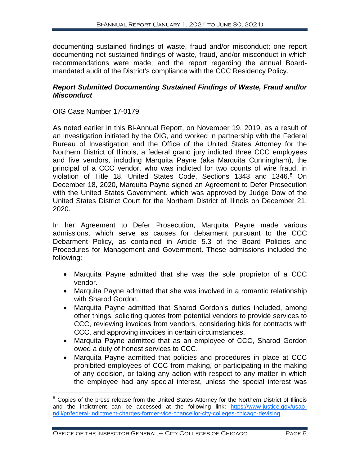documenting sustained findings of waste, fraud and/or misconduct; one report documenting not sustained findings of waste, fraud, and/or misconduct in which recommendations were made; and the report regarding the annual Boardmandated audit of the District's compliance with the CCC Residency Policy.

#### *Report Submitted Documenting Sustained Findings of Waste, Fraud and/or Misconduct*

#### OIG Case Number 17-0179

As noted earlier in this Bi-Annual Report, on November 19, 2019, as a result of an investigation initiated by the OIG, and worked in partnership with the Federal Bureau of Investigation and the Office of the United States Attorney for the Northern District of Illinois, a federal grand jury indicted three CCC employees and five vendors, including Marquita Payne (aka Marquita Cunningham), the principal of a CCC vendor, who was indicted for two counts of wire fraud, in violation of Title 1[8](#page-9-0), United States Code, Sections 1343 and 1346.8 On December 18, 2020, Marquita Payne signed an Agreement to Defer Prosecution with the United States Government, which was approved by Judge Dow of the United States District Court for the Northern District of Illinois on December 21, 2020.

In her Agreement to Defer Prosecution, Marquita Payne made various admissions, which serve as causes for debarment pursuant to the CCC Debarment Policy, as contained in Article 5.3 of the Board Policies and Procedures for Management and Government. These admissions included the following:

- Marquita Payne admitted that she was the sole proprietor of a CCC vendor.
- Marquita Payne admitted that she was involved in a romantic relationship with Sharod Gordon.
- Marquita Payne admitted that Sharod Gordon's duties included, among other things, soliciting quotes from potential vendors to provide services to CCC, reviewing invoices from vendors, considering bids for contracts with CCC, and approving invoices in certain circumstances.
- Marquita Payne admitted that as an employee of CCC, Sharod Gordon owed a duty of honest services to CCC.
- Marquita Payne admitted that policies and procedures in place at CCC prohibited employees of CCC from making, or participating in the making of any decision, or taking any action with respect to any matter in which the employee had any special interest, unless the special interest was

<span id="page-9-0"></span> $8$  Copies of the press release from the United States Attorney for the Northern District of Illinois and the indictment can be accessed at the following link: [https://www.justice.gov/usao](https://www.justice.gov/usao-ndil/pr/federal-indictment-charges-former-vice-chancellor-city-colleges-chicago-devising)[ndil/pr/federal-indictment-charges-former-vice-chancellor-city-colleges-chicago-devising.](https://www.justice.gov/usao-ndil/pr/federal-indictment-charges-former-vice-chancellor-city-colleges-chicago-devising)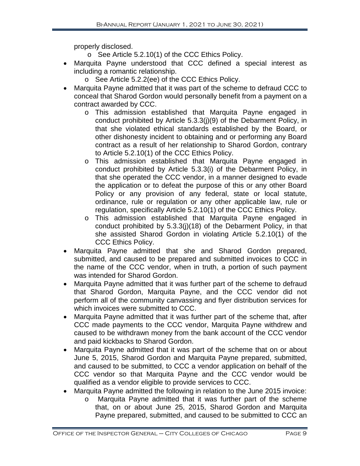properly disclosed.

- o See Article 5.2.10(1) of the CCC Ethics Policy.
- Marquita Payne understood that CCC defined a special interest as including a romantic relationship.
	- o See Article 5.2.2(ee) of the CCC Ethics Policy.
- Marquita Payne admitted that it was part of the scheme to defraud CCC to conceal that Sharod Gordon would personally benefit from a payment on a contract awarded by CCC.
	- o This admission established that Marquita Payne engaged in conduct prohibited by Article 5.3.3(j)(9) of the Debarment Policy, in that she violated ethical standards established by the Board, or other dishonesty incident to obtaining and or performing any Board contract as a result of her relationship to Sharod Gordon, contrary to Article 5.2.10(1) of the CCC Ethics Policy.
	- o This admission established that Marquita Payne engaged in conduct prohibited by Article 5.3.3(i) of the Debarment Policy, in that she operated the CCC vendor, in a manner designed to evade the application or to defeat the purpose of this or any other Board Policy or any provision of any federal, state or local statute, ordinance, rule or regulation or any other applicable law, rule or regulation, specifically Article 5.2.10(1) of the CCC Ethics Policy.
	- o This admission established that Marquita Payne engaged in conduct prohibited by 5.3.3(j)(18) of the Debarment Policy, in that she assisted Sharod Gordon in violating Article 5.2.10(1) of the CCC Ethics Policy.
- Marquita Payne admitted that she and Sharod Gordon prepared, submitted, and caused to be prepared and submitted invoices to CCC in the name of the CCC vendor, when in truth, a portion of such payment was intended for Sharod Gordon.
- Marquita Payne admitted that it was further part of the scheme to defraud that Sharod Gordon, Marquita Payne, and the CCC vendor did not perform all of the community canvassing and flyer distribution services for which invoices were submitted to CCC.
- Marquita Payne admitted that it was further part of the scheme that, after CCC made payments to the CCC vendor, Marquita Payne withdrew and caused to be withdrawn money from the bank account of the CCC vendor and paid kickbacks to Sharod Gordon.
- Marquita Payne admitted that it was part of the scheme that on or about June 5, 2015, Sharod Gordon and Marquita Payne prepared, submitted, and caused to be submitted, to CCC a vendor application on behalf of the CCC vendor so that Marquita Payne and the CCC vendor would be qualified as a vendor eligible to provide services to CCC.
- Marquita Payne admitted the following in relation to the June 2015 invoice:
	- o Marquita Payne admitted that it was further part of the scheme that, on or about June 25, 2015, Sharod Gordon and Marquita Payne prepared, submitted, and caused to be submitted to CCC an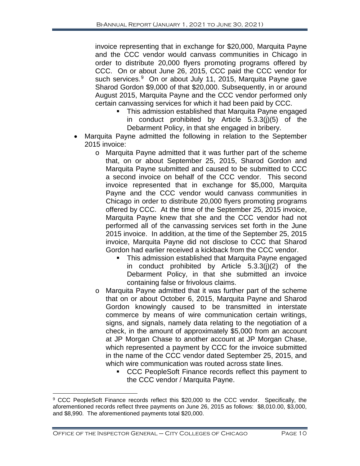invoice representing that in exchange for \$20,000, Marquita Payne and the CCC vendor would canvass communities in Chicago in order to distribute 20,000 flyers promoting programs offered by CCC. On or about June 26, 2015, CCC paid the CCC vendor for such services.<sup>[9](#page-11-0)</sup> On or about July 11, 2015, Marquita Payne gave Sharod Gordon \$9,000 of that \$20,000. Subsequently, in or around August 2015, Marquita Payne and the CCC vendor performed only certain canvassing services for which it had been paid by CCC.

- **This admission established that Marquita Payne engaged** in conduct prohibited by Article 5.3.3(j)(5) of the Debarment Policy, in that she engaged in bribery.
- Marquita Payne admitted the following in relation to the September 2015 invoice:
	- o Marquita Payne admitted that it was further part of the scheme that, on or about September 25, 2015, Sharod Gordon and Marquita Payne submitted and caused to be submitted to CCC a second invoice on behalf of the CCC vendor. This second invoice represented that in exchange for \$5,000, Marquita Payne and the CCC vendor would canvass communities in Chicago in order to distribute 20,000 flyers promoting programs offered by CCC. At the time of the September 25, 2015 invoice, Marquita Payne knew that she and the CCC vendor had not performed all of the canvassing services set forth in the June 2015 invoice. In addition, at the time of the September 25, 2015 invoice, Marquita Payne did not disclose to CCC that Sharod Gordon had earlier received a kickback from the CCC vendor.
		- **This admission established that Marquita Payne engaged** in conduct prohibited by Article 5.3.3(j)(2) of the Debarment Policy, in that she submitted an invoice containing false or frivolous claims.
	- o Marquita Payne admitted that it was further part of the scheme that on or about October 6, 2015, Marquita Payne and Sharod Gordon knowingly caused to be transmitted in interstate commerce by means of wire communication certain writings, signs, and signals, namely data relating to the negotiation of a check, in the amount of approximately \$5,000 from an account at JP Morgan Chase to another account at JP Morgan Chase, which represented a payment by CCC for the invoice submitted in the name of the CCC vendor dated September 25, 2015, and which wire communication was routed across state lines.
		- CCC PeopleSoft Finance records reflect this payment to the CCC vendor / Marquita Payne.

<span id="page-11-0"></span> $\overline{a}$ <sup>9</sup> CCC PeopleSoft Finance records reflect this \$20,000 to the CCC vendor. Specifically, the aforementioned records reflect three payments on June 26, 2015 as follows: \$8,010.00, \$3,000, and \$8,990. The aforementioned payments total \$20,000.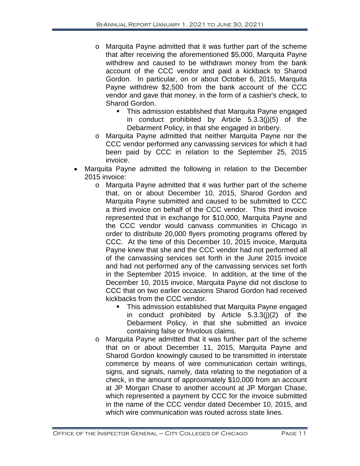- o Marquita Payne admitted that it was further part of the scheme that after receiving the aforementioned \$5,000, Marquita Payne withdrew and caused to be withdrawn money from the bank account of the CCC vendor and paid a kickback to Sharod Gordon. In particular, on or about October 6, 2015, Marquita Payne withdrew \$2,500 from the bank account of the CCC vendor and gave that money, in the form of a cashier's check, to Sharod Gordon.
	- **This admission established that Marquita Payne engaged** in conduct prohibited by Article 5.3.3(j)(5) of the Debarment Policy, in that she engaged in bribery.
- o Marquita Payne admitted that neither Marquita Payne nor the CCC vendor performed any canvassing services for which it had been paid by CCC in relation to the September 25, 2015 invoice.
- Marquita Payne admitted the following in relation to the December 2015 invoice:
	- o Marquita Payne admitted that it was further part of the scheme that, on or about December 10, 2015, Sharod Gordon and Marquita Payne submitted and caused to be submitted to CCC a third invoice on behalf of the CCC vendor. This third invoice represented that in exchange for \$10,000, Marquita Payne and the CCC vendor would canvass communities in Chicago in order to distribute 20,000 flyers promoting programs offered by CCC. At the time of this December 10, 2015 invoice, Marquita Payne knew that she and the CCC vendor had not performed all of the canvassing services set forth in the June 2015 invoice and had not performed any of the canvassing services set forth in the September 2015 invoice. In addition, at the time of the December 10, 2015 invoice, Marquita Payne did not disclose to CCC that on two earlier occasions Sharod Gordon had received kickbacks from the CCC vendor.
		- **This admission established that Marquita Payne engaged** in conduct prohibited by Article  $5.3.3(j)(2)$  of the Debarment Policy, in that she submitted an invoice containing false or frivolous claims.
	- o Marquita Payne admitted that it was further part of the scheme that on or about December 11, 2015, Marquita Payne and Sharod Gordon knowingly caused to be transmitted in interstate commerce by means of wire communication certain writings, signs, and signals, namely, data relating to the negotiation of a check, in the amount of approximately \$10,000 from an account at JP Morgan Chase to another account at JP Morgan Chase, which represented a payment by CCC for the invoice submitted in the name of the CCC vendor dated December 10, 2015, and which wire communication was routed across state lines.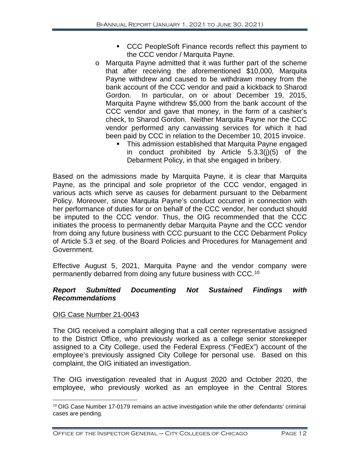- CCC PeopleSoft Finance records reflect this payment to the CCC vendor / Marquita Payne.
- o Marquita Payne admitted that it was further part of the scheme that after receiving the aforementioned \$10,000, Marquita Payne withdrew and caused to be withdrawn money from the bank account of the CCC vendor and paid a kickback to Sharod Gordon. In particular, on or about December 19, 2015, Marquita Payne withdrew \$5,000 from the bank account of the CCC vendor and gave that money, in the form of a cashier's check, to Sharod Gordon. Neither Marquita Payne nor the CCC vendor performed any canvassing services for which it had been paid by CCC in relation to the December 10, 2015 invoice.
	- **This admission established that Marquita Payne engaged** in conduct prohibited by Article 5.3.3(j)(5) of the Debarment Policy, in that she engaged in bribery.

Based on the admissions made by Marquita Payne, it is clear that Marquita Payne, as the principal and sole proprietor of the CCC vendor, engaged in various acts which serve as causes for debarment pursuant to the Debarment Policy. Moreover, since Marquita Payne's conduct occurred in connection with her performance of duties for or on behalf of the CCC vendor, her conduct should be imputed to the CCC vendor. Thus, the OIG recommended that the CCC initiates the process to permanently debar Marquita Payne and the CCC vendor from doing any future business with CCC pursuant to the CCC Debarment Policy of Article 5.3 *et seq*. of the Board Policies and Procedures for Management and Government.

Effective August 5, 2021, Marquita Payne and the vendor company were permanently debarred from doing any future business with CCC.[10](#page-13-0)

#### *Report Submitted Documenting Not Sustained Findings with Recommendations*

### OIG Case Number 21-0043

The OIG received a complaint alleging that a call center representative assigned to the District Office, who previously worked as a college senior storekeeper assigned to a City College, used the Federal Express ("FedEx") account of the employee's previously assigned City College for personal use. Based on this complaint, the OIG initiated an investigation.

The OIG investigation revealed that in August 2020 and October 2020, the employee, who previously worked as an employee in the Central Stores

<span id="page-13-0"></span> $10$  OIG Case Number 17-0179 remains an active investigation while the other defendants' criminal cases are pending.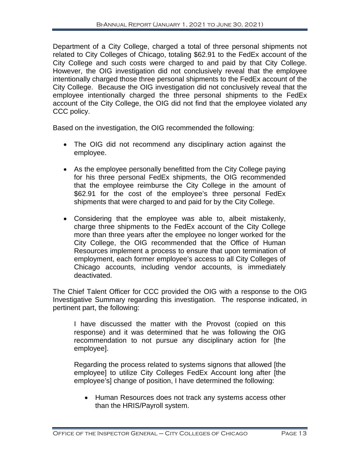Department of a City College, charged a total of three personal shipments not related to City Colleges of Chicago, totaling \$62.91 to the FedEx account of the City College and such costs were charged to and paid by that City College. However, the OIG investigation did not conclusively reveal that the employee intentionally charged those three personal shipments to the FedEx account of the City College. Because the OIG investigation did not conclusively reveal that the employee intentionally charged the three personal shipments to the FedEx account of the City College, the OIG did not find that the employee violated any CCC policy.

Based on the investigation, the OIG recommended the following:

- The OIG did not recommend any disciplinary action against the employee.
- As the employee personally benefitted from the City College paying for his three personal FedEx shipments, the OIG recommended that the employee reimburse the City College in the amount of \$62.91 for the cost of the employee's three personal FedEx shipments that were charged to and paid for by the City College.
- Considering that the employee was able to, albeit mistakenly, charge three shipments to the FedEx account of the City College more than three years after the employee no longer worked for the City College, the OIG recommended that the Office of Human Resources implement a process to ensure that upon termination of employment, each former employee's access to all City Colleges of Chicago accounts, including vendor accounts, is immediately deactivated.

The Chief Talent Officer for CCC provided the OIG with a response to the OIG Investigative Summary regarding this investigation. The response indicated, in pertinent part, the following:

I have discussed the matter with the Provost (copied on this response) and it was determined that he was following the OIG recommendation to not pursue any disciplinary action for [the employee].

Regarding the process related to systems signons that allowed [the employee] to utilize City Colleges FedEx Account long after [the employee's] change of position, I have determined the following:

• Human Resources does not track any systems access other than the HRIS/Payroll system.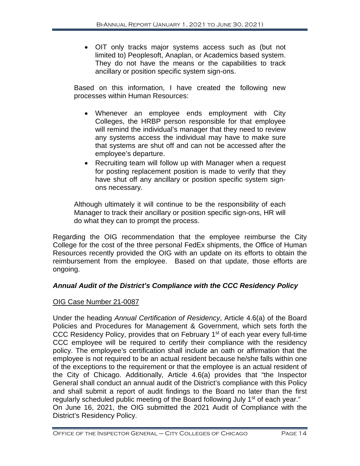• OIT only tracks major systems access such as (but not limited to) Peoplesoft, Anaplan, or Academics based system. They do not have the means or the capabilities to track ancillary or position specific system sign-ons.

Based on this information, I have created the following new processes within Human Resources:

- Whenever an employee ends employment with City Colleges, the HRBP person responsible for that employee will remind the individual's manager that they need to review any systems access the individual may have to make sure that systems are shut off and can not be accessed after the employee's departure.
- Recruiting team will follow up with Manager when a request for posting replacement position is made to verify that they have shut off any ancillary or position specific system signons necessary.

Although ultimately it will continue to be the responsibility of each Manager to track their ancillary or position specific sign-ons, HR will do what they can to prompt the process.

Regarding the OIG recommendation that the employee reimburse the City College for the cost of the three personal FedEx shipments, the Office of Human Resources recently provided the OIG with an update on its efforts to obtain the reimbursement from the employee. Based on that update, those efforts are ongoing.

### *Annual Audit of the District's Compliance with the CCC Residency Policy*

#### OIG Case Number 21-0087

Under the heading *Annual Certification of Residency*, Article 4.6(a) of the Board Policies and Procedures for Management & Government, which sets forth the CCC Residency Policy, provides that on February 1st of each year every full-time CCC employee will be required to certify their compliance with the residency policy. The employee's certification shall include an oath or affirmation that the employee is not required to be an actual resident because he/she falls within one of the exceptions to the requirement or that the employee is an actual resident of the City of Chicago. Additionally, Article 4.6(a) provides that "the Inspector General shall conduct an annual audit of the District's compliance with this Policy and shall submit a report of audit findings to the Board no later than the first regularly scheduled public meeting of the Board following July 1<sup>st</sup> of each year." On June 16, 2021, the OIG submitted the 2021 Audit of Compliance with the District's Residency Policy.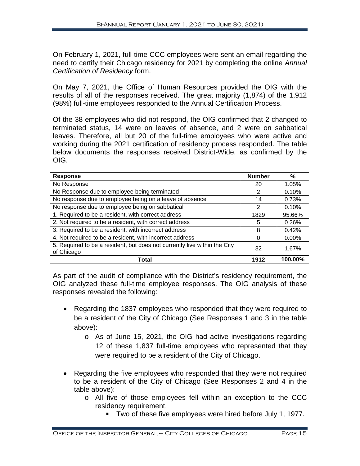On February 1, 2021, full-time CCC employees were sent an email regarding the need to certify their Chicago residency for 2021 by completing the online *Annual Certification of Residency* form.

On May 7, 2021, the Office of Human Resources provided the OIG with the results of all of the responses received. The great majority (1,874) of the 1,912 (98%) full-time employees responded to the Annual Certification Process.

Of the 38 employees who did not respond, the OIG confirmed that 2 changed to terminated status, 14 were on leaves of absence, and 2 were on sabbatical leaves. Therefore, all but 20 of the full-time employees who were active and working during the 2021 certification of residency process responded. The table below documents the responses received District-Wide, as confirmed by the OIG.

| <b>Response</b>                                                                         | <b>Number</b> | ℅        |
|-----------------------------------------------------------------------------------------|---------------|----------|
| No Response                                                                             | 20            | 1.05%    |
| No Response due to employee being terminated                                            | 2             | 0.10%    |
| No response due to employee being on a leave of absence                                 | 14            | 0.73%    |
| No response due to employee being on sabbatical                                         | 2             | 0.10%    |
| 1. Required to be a resident, with correct address                                      | 1829          | 95.66%   |
| 2. Not required to be a resident, with correct address                                  | 5             | 0.26%    |
| 3. Required to be a resident, with incorrect address                                    | 8             | 0.42%    |
| 4. Not required to be a resident, with incorrect address                                | 0             | $0.00\%$ |
| 5. Required to be a resident, but does not currently live within the City<br>of Chicago | 32            | 1.67%    |
| Total                                                                                   | 1912          | 100.00%  |

As part of the audit of compliance with the District's residency requirement, the OIG analyzed these full-time employee responses. The OIG analysis of these responses revealed the following:

- Regarding the 1837 employees who responded that they were required to be a resident of the City of Chicago (See Responses 1 and 3 in the table above):
	- o As of June 15, 2021, the OIG had active investigations regarding 12 of these 1,837 full-time employees who represented that they were required to be a resident of the City of Chicago.
- Regarding the five employees who responded that they were not required to be a resident of the City of Chicago (See Responses 2 and 4 in the table above):
	- o All five of those employees fell within an exception to the CCC residency requirement.
		- Two of these five employees were hired before July 1, 1977.